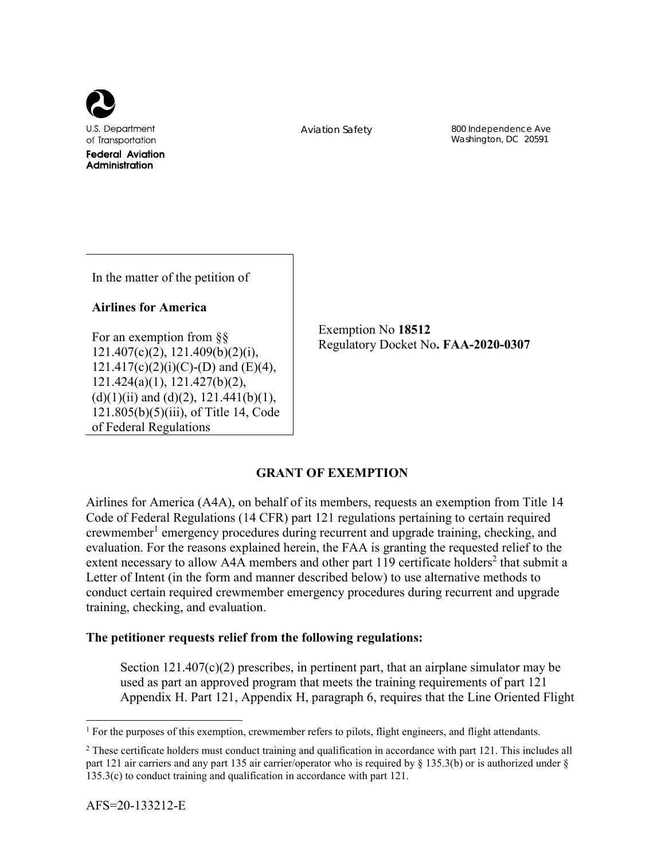

Aviation Safety 800 Independence Ave Washington, DC 20591

In the matter of the petition of

## **Airlines for America**

For an exemption from §§ 121.407(c)(2), 121.409(b)(2)(i),  $121.417(c)(2)(i)(C)$ -(D) and (E)(4), 121.424(a)(1), 121.427(b)(2),  $(d)(1)(ii)$  and  $(d)(2)$ , 121.441(b)(1), 121.805(b)(5)(iii), of Title 14, Code of Federal Regulations

Exemption No **18512** Regulatory Docket No**. FAA-2020-0307**

# **GRANT OF EXEMPTION**

Airlines for America (A4A), on behalf of its members, requests an exemption from Title 14 Code of Federal Regulations (14 CFR) part 121 regulations pertaining to certain required crewmember<sup>1</sup> emergency procedures during recurrent and upgrade training, checking, and evaluation. For the reasons explained herein, the FAA is granting the requested relief to the extent necessary to allow A4A members and other part 119 certificate holders<sup>2</sup> that submit a Letter of Intent (in the form and manner described below) to use alternative methods to conduct certain required crewmember emergency procedures during recurrent and upgrade training, checking, and evaluation.

## **The petitioner requests relief from the following regulations:**

Section  $121.407(c)(2)$  prescribes, in pertinent part, that an airplane simulator may be used as part an approved program that meets the training requirements of part 121 Appendix H. Part 121, Appendix H, paragraph 6, requires that the Line Oriented Flight

 $\overline{a}$ 

<sup>&</sup>lt;sup>1</sup> For the purposes of this exemption, crewmember refers to pilots, flight engineers, and flight attendants.

<sup>&</sup>lt;sup>2</sup> These certificate holders must conduct training and qualification in accordance with part 121. This includes all part 121 air carriers and any part 135 air carrier/operator who is required by § 135.3(b) or is authorized under § 135.3(c) to conduct training and qualification in accordance with part 121.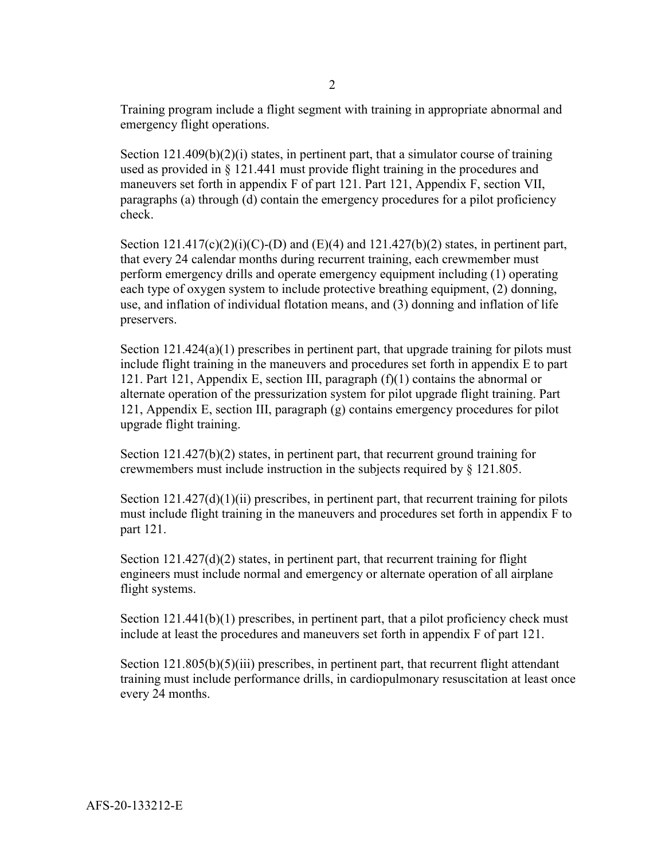Training program include a flight segment with training in appropriate abnormal and emergency flight operations.

Section  $121.409(b)(2)(i)$  states, in pertinent part, that a simulator course of training used as provided in § 121.441 must provide flight training in the procedures and maneuvers set forth in appendix F of part 121. Part 121, Appendix F, section VII, paragraphs (a) through (d) contain the emergency procedures for a pilot proficiency check.

Section  $121.417(c)(2)(i)(C)$ -(D) and  $(E)(4)$  and  $121.427(b)(2)$  states, in pertinent part, that every 24 calendar months during recurrent training, each crewmember must perform emergency drills and operate emergency equipment including (1) operating each type of oxygen system to include protective breathing equipment, (2) donning, use, and inflation of individual flotation means, and (3) donning and inflation of life preservers.

Section  $121.424(a)(1)$  prescribes in pertinent part, that upgrade training for pilots must include flight training in the maneuvers and procedures set forth in appendix E to part 121. Part 121, Appendix E, section III, paragraph  $(f)(1)$  contains the abnormal or alternate operation of the pressurization system for pilot upgrade flight training. Part 121, Appendix E, section III, paragraph (g) contains emergency procedures for pilot upgrade flight training.

Section 121.427(b)(2) states, in pertinent part, that recurrent ground training for crewmembers must include instruction in the subjects required by § 121.805.

Section  $121.427(d)(1)(ii)$  prescribes, in pertinent part, that recurrent training for pilots must include flight training in the maneuvers and procedures set forth in appendix F to part 121.

Section  $121.427(d)(2)$  states, in pertinent part, that recurrent training for flight engineers must include normal and emergency or alternate operation of all airplane flight systems.

Section  $121.441(b)(1)$  prescribes, in pertinent part, that a pilot proficiency check must include at least the procedures and maneuvers set forth in appendix F of part 121.

Section 121.805(b)(5)(iii) prescribes, in pertinent part, that recurrent flight attendant training must include performance drills, in cardiopulmonary resuscitation at least once every 24 months.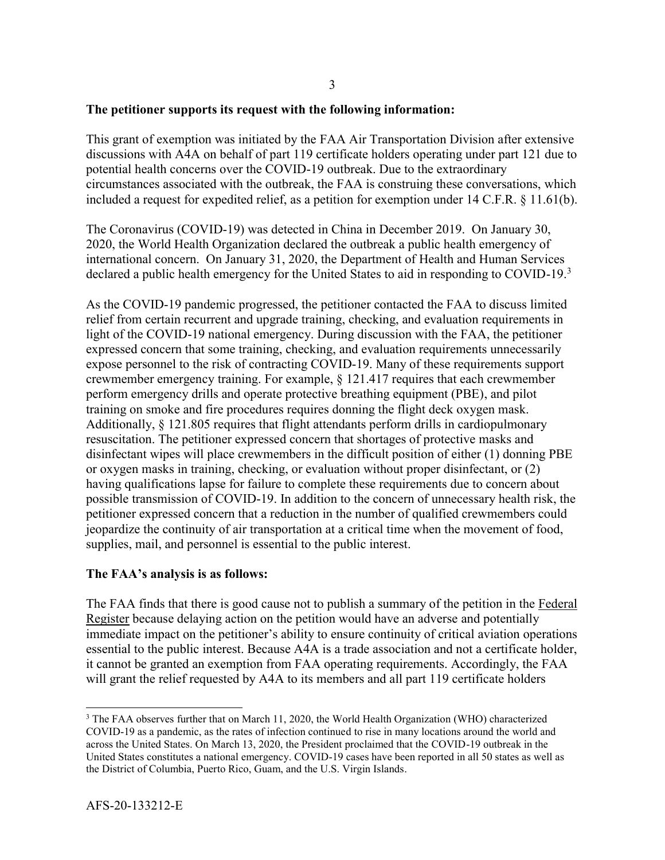### **The petitioner supports its request with the following information:**

This grant of exemption was initiated by the FAA Air Transportation Division after extensive discussions with A4A on behalf of part 119 certificate holders operating under part 121 due to potential health concerns over the COVID-19 outbreak. Due to the extraordinary circumstances associated with the outbreak, the FAA is construing these conversations, which included a request for expedited relief, as a petition for exemption under 14 C.F.R. § 11.61(b).

The Coronavirus (COVID-19) was detected in China in December 2019. On January 30, 2020, the World Health Organization declared the outbreak a public health emergency of international concern. On January 31, 2020, the Department of Health and Human Services declared a public health emergency for the United States to aid in responding to COVID-19.<sup>3</sup>

As the COVID-19 pandemic progressed, the petitioner contacted the FAA to discuss limited relief from certain recurrent and upgrade training, checking, and evaluation requirements in light of the COVID-19 national emergency. During discussion with the FAA, the petitioner expressed concern that some training, checking, and evaluation requirements unnecessarily expose personnel to the risk of contracting COVID-19. Many of these requirements support crewmember emergency training. For example, § 121.417 requires that each crewmember perform emergency drills and operate protective breathing equipment (PBE), and pilot training on smoke and fire procedures requires donning the flight deck oxygen mask. Additionally, § 121.805 requires that flight attendants perform drills in cardiopulmonary resuscitation. The petitioner expressed concern that shortages of protective masks and disinfectant wipes will place crewmembers in the difficult position of either (1) donning PBE or oxygen masks in training, checking, or evaluation without proper disinfectant, or (2) having qualifications lapse for failure to complete these requirements due to concern about possible transmission of COVID-19. In addition to the concern of unnecessary health risk, the petitioner expressed concern that a reduction in the number of qualified crewmembers could jeopardize the continuity of air transportation at a critical time when the movement of food, supplies, mail, and personnel is essential to the public interest.

## **The FAA's analysis is as follows:**

The FAA finds that there is good cause not to publish a summary of the petition in the Federal Register because delaying action on the petition would have an adverse and potentially immediate impact on the petitioner's ability to ensure continuity of critical aviation operations essential to the public interest. Because A4A is a trade association and not a certificate holder, it cannot be granted an exemption from FAA operating requirements. Accordingly, the FAA will grant the relief requested by A4A to its members and all part 119 certificate holders

l

<sup>&</sup>lt;sup>3</sup> The FAA observes further that on March 11, 2020, the World Health Organization (WHO) characterized COVID-19 as a pandemic, as the rates of infection continued to rise in many locations around the world and across the United States. On March 13, 2020, the President proclaimed that the COVID-19 outbreak in the United States constitutes a national emergency. COVID-19 cases have been reported in all 50 states as well as the District of Columbia, Puerto Rico, Guam, and the U.S. Virgin Islands.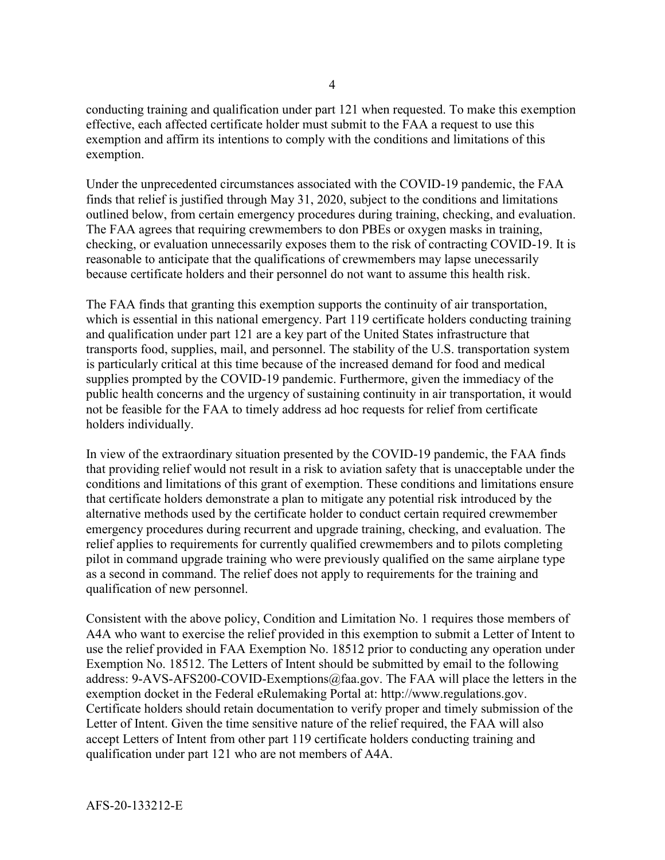conducting training and qualification under part 121 when requested. To make this exemption effective, each affected certificate holder must submit to the FAA a request to use this exemption and affirm its intentions to comply with the conditions and limitations of this exemption.

Under the unprecedented circumstances associated with the COVID-19 pandemic, the FAA finds that relief is justified through May 31, 2020, subject to the conditions and limitations outlined below, from certain emergency procedures during training, checking, and evaluation. The FAA agrees that requiring crewmembers to don PBEs or oxygen masks in training, checking, or evaluation unnecessarily exposes them to the risk of contracting COVID-19. It is reasonable to anticipate that the qualifications of crewmembers may lapse unecessarily because certificate holders and their personnel do not want to assume this health risk.

The FAA finds that granting this exemption supports the continuity of air transportation, which is essential in this national emergency. Part 119 certificate holders conducting training and qualification under part 121 are a key part of the United States infrastructure that transports food, supplies, mail, and personnel. The stability of the U.S. transportation system is particularly critical at this time because of the increased demand for food and medical supplies prompted by the COVID-19 pandemic. Furthermore, given the immediacy of the public health concerns and the urgency of sustaining continuity in air transportation, it would not be feasible for the FAA to timely address ad hoc requests for relief from certificate holders individually.

In view of the extraordinary situation presented by the COVID-19 pandemic, the FAA finds that providing relief would not result in a risk to aviation safety that is unacceptable under the conditions and limitations of this grant of exemption. These conditions and limitations ensure that certificate holders demonstrate a plan to mitigate any potential risk introduced by the alternative methods used by the certificate holder to conduct certain required crewmember emergency procedures during recurrent and upgrade training, checking, and evaluation. The relief applies to requirements for currently qualified crewmembers and to pilots completing pilot in command upgrade training who were previously qualified on the same airplane type as a second in command. The relief does not apply to requirements for the training and qualification of new personnel.

Consistent with the above policy, Condition and Limitation No. 1 requires those members of A4A who want to exercise the relief provided in this exemption to submit a Letter of Intent to use the relief provided in FAA Exemption No. 18512 prior to conducting any operation under Exemption No. 18512. The Letters of Intent should be submitted by email to the following address: 9-AVS-AFS200-COVID-Exemptions@faa.gov. The FAA will place the letters in the exemption docket in the Federal eRulemaking Portal at: http://www.regulations.gov. Certificate holders should retain documentation to verify proper and timely submission of the Letter of Intent. Given the time sensitive nature of the relief required, the FAA will also accept Letters of Intent from other part 119 certificate holders conducting training and qualification under part 121 who are not members of A4A.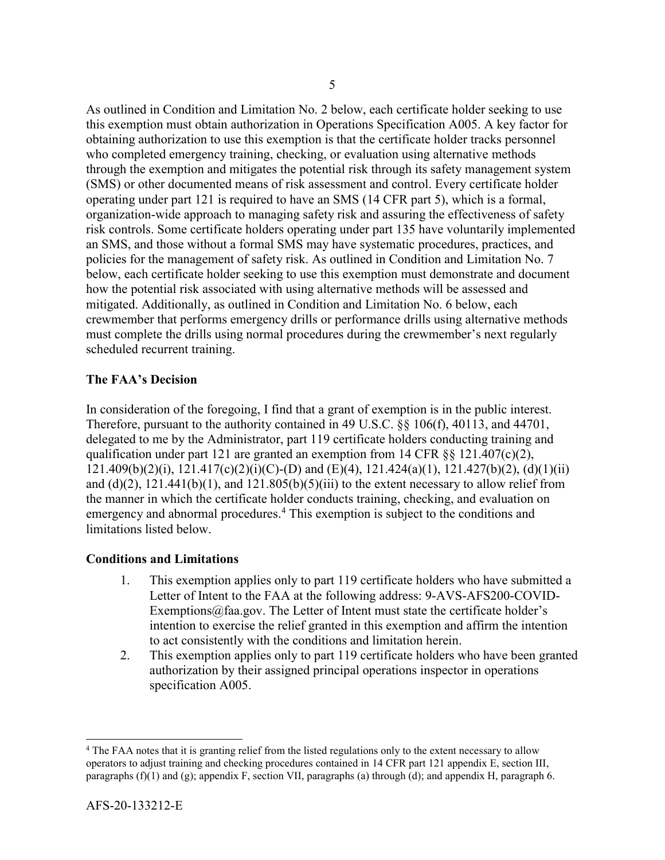As outlined in Condition and Limitation No. 2 below, each certificate holder seeking to use this exemption must obtain authorization in Operations Specification A005. A key factor for obtaining authorization to use this exemption is that the certificate holder tracks personnel who completed emergency training, checking, or evaluation using alternative methods through the exemption and mitigates the potential risk through its safety management system (SMS) or other documented means of risk assessment and control. Every certificate holder operating under part 121 is required to have an SMS (14 CFR part 5), which is a formal, organization-wide approach to managing safety risk and assuring the effectiveness of safety risk controls. Some certificate holders operating under part 135 have voluntarily implemented an SMS, and those without a formal SMS may have systematic procedures, practices, and policies for the management of safety risk. As outlined in Condition and Limitation No. 7 below, each certificate holder seeking to use this exemption must demonstrate and document how the potential risk associated with using alternative methods will be assessed and mitigated. Additionally, as outlined in Condition and Limitation No. 6 below, each crewmember that performs emergency drills or performance drills using alternative methods must complete the drills using normal procedures during the crewmember's next regularly scheduled recurrent training.

### **The FAA's Decision**

In consideration of the foregoing, I find that a grant of exemption is in the public interest. Therefore, pursuant to the authority contained in 49 U.S.C. §§ 106(f), 40113, and 44701, delegated to me by the Administrator, part 119 certificate holders conducting training and qualification under part 121 are granted an exemption from 14 CFR  $\S$ § 121.407(c)(2),  $121.409(b)(2)(i)$ ,  $121.417(c)(2)(i)(C)$ -(D) and (E)(4),  $121.424(a)(1)$ ,  $121.427(b)(2)$ , (d)(1)(ii) and (d)(2),  $121.441(b)(1)$ , and  $121.805(b)(5)(iii)$  to the extent necessary to allow relief from the manner in which the certificate holder conducts training, checking, and evaluation on emergency and abnormal procedures.<sup>4</sup> This exemption is subject to the conditions and limitations listed below.

#### **Conditions and Limitations**

- 1. This exemption applies only to part 119 certificate holders who have submitted a Letter of Intent to the FAA at the following address: 9-AVS-AFS200-COVID-Exemptions@faa.gov. The Letter of Intent must state the certificate holder's intention to exercise the relief granted in this exemption and affirm the intention to act consistently with the conditions and limitation herein.
- 2. This exemption applies only to part 119 certificate holders who have been granted authorization by their assigned principal operations inspector in operations specification A005.

 $\overline{a}$ 

<sup>4</sup> The FAA notes that it is granting relief from the listed regulations only to the extent necessary to allow operators to adjust training and checking procedures contained in 14 CFR part 121 appendix E, section III, paragraphs (f)(1) and (g); appendix F, section VII, paragraphs (a) through (d); and appendix H, paragraph 6.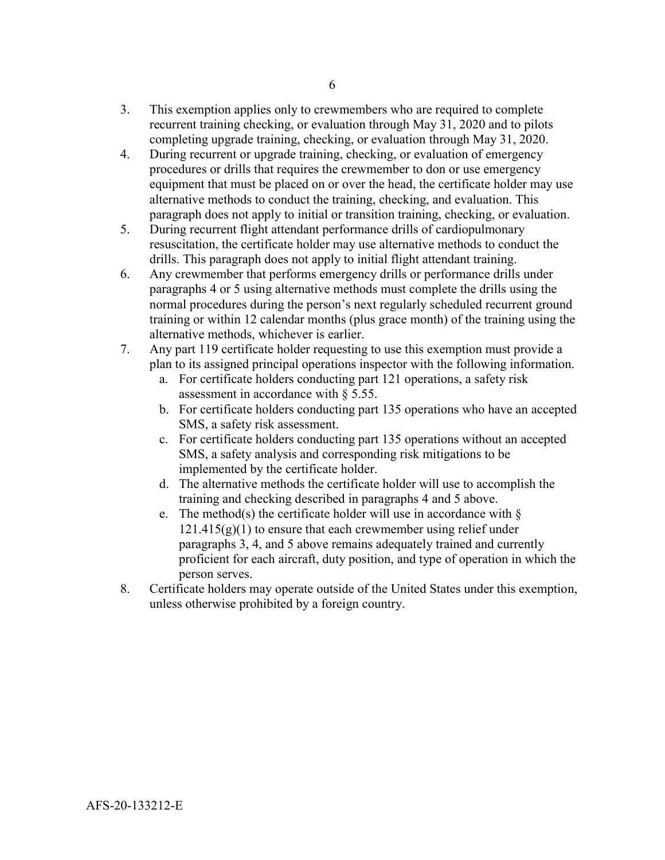- 3. This exemption applies only to crewmembers who are required to complete recurrent training checking, or evaluation through May 31, 2020 and to pilots completing upgrade training, checking, or evaluation through May 31, 2020.
- 4. During recurrent or upgrade training, checking, or evaluation of emergency procedures or drills that requires the crewmember to don or use emergency equipment that must be placed on or over the head, the certificate holder may use alternative methods to conduct the training, checking, and evaluation. This paragraph does not apply to initial or transition training, checking, or evaluation.
- 5. During recurrent flight attendant performance drills of cardiopulmonary resuscitation, the certificate holder may use alternative methods to conduct the drills. This paragraph does not apply to initial flight attendant training.
- 6. Any crewmember that performs emergency drills or performance drills under paragraphs 4 or 5 using alternative methods must complete the drills using the normal procedures during the person's next regularly scheduled recurrent ground training or within 12 calendar months (plus grace month) of the training using the alternative methods, whichever is earlier.
- 7. Any part 119 certificate holder requesting to use this exemption must provide a plan to its assigned principal operations inspector with the following information.
	- a. For certificate holders conducting part 121 operations, a safety risk assessment in accordance with § 5.55.
	- b. For certificate holders conducting part 135 operations who have an accepted SMS, a safety risk assessment.
	- c. For certificate holders conducting part 135 operations without an accepted SMS, a safety analysis and corresponding risk mitigations to be implemented by the certificate holder.
	- d. The alternative methods the certificate holder will use to accomplish the training and checking described in paragraphs 4 and 5 above.
	- e. The method(s) the certificate holder will use in accordance with  $\delta$  $121.415(g)(1)$  to ensure that each crewmember using relief under paragraphs 3, 4, and 5 above remains adequately trained and currently proficient for each aircraft, duty position, and type of operation in which the person serves.
- 8. Certificate holders may operate outside of the United States under this exemption, unless otherwise prohibited by a foreign country.